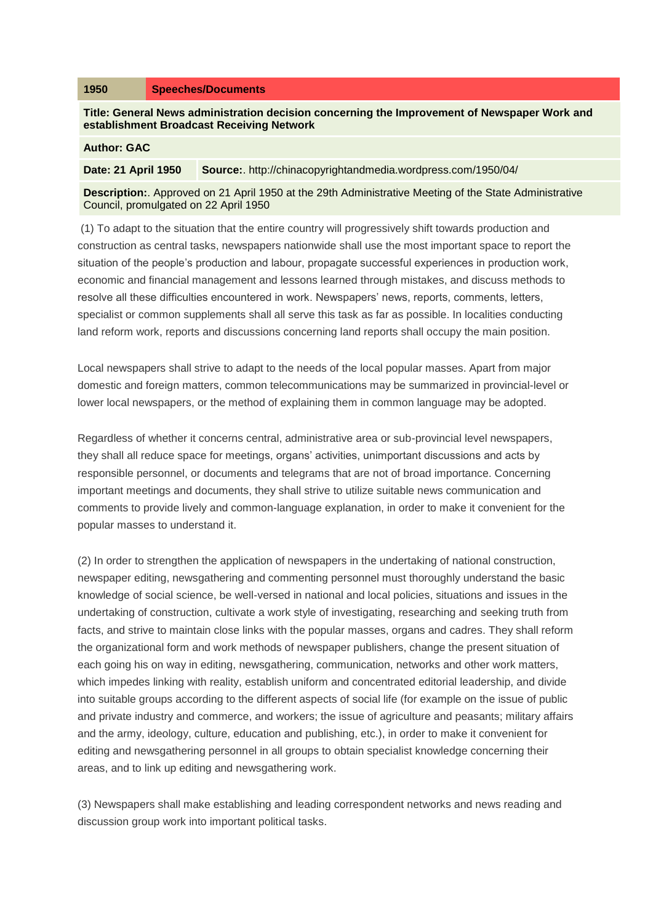**Title: General News administration decision concerning the Improvement of Newspaper Work and establishment Broadcast Receiving Network**

## **Author: GAC**

**Date: 21 April 1950 Source:**. http://chinacopyrightandmedia.wordpress.com/1950/04/

**Description:**. Approved on 21 April 1950 at the 29th Administrative Meeting of the State Administrative Council, promulgated on 22 April 1950

(1) To adapt to the situation that the entire country will progressively shift towards production and construction as central tasks, newspapers nationwide shall use the most important space to report the situation of the people's production and labour, propagate successful experiences in production work, economic and financial management and lessons learned through mistakes, and discuss methods to resolve all these difficulties encountered in work. Newspapers' news, reports, comments, letters, specialist or common supplements shall all serve this task as far as possible. In localities conducting land reform work, reports and discussions concerning land reports shall occupy the main position.

Local newspapers shall strive to adapt to the needs of the local popular masses. Apart from major domestic and foreign matters, common telecommunications may be summarized in provincial-level or lower local newspapers, or the method of explaining them in common language may be adopted.

Regardless of whether it concerns central, administrative area or sub-provincial level newspapers, they shall all reduce space for meetings, organs' activities, unimportant discussions and acts by responsible personnel, or documents and telegrams that are not of broad importance. Concerning important meetings and documents, they shall strive to utilize suitable news communication and comments to provide lively and common-language explanation, in order to make it convenient for the popular masses to understand it.

(2) In order to strengthen the application of newspapers in the undertaking of national construction, newspaper editing, newsgathering and commenting personnel must thoroughly understand the basic knowledge of social science, be well-versed in national and local policies, situations and issues in the undertaking of construction, cultivate a work style of investigating, researching and seeking truth from facts, and strive to maintain close links with the popular masses, organs and cadres. They shall reform the organizational form and work methods of newspaper publishers, change the present situation of each going his on way in editing, newsgathering, communication, networks and other work matters, which impedes linking with reality, establish uniform and concentrated editorial leadership, and divide into suitable groups according to the different aspects of social life (for example on the issue of public and private industry and commerce, and workers; the issue of agriculture and peasants; military affairs and the army, ideology, culture, education and publishing, etc.), in order to make it convenient for editing and newsgathering personnel in all groups to obtain specialist knowledge concerning their areas, and to link up editing and newsgathering work.

(3) Newspapers shall make establishing and leading correspondent networks and news reading and discussion group work into important political tasks.